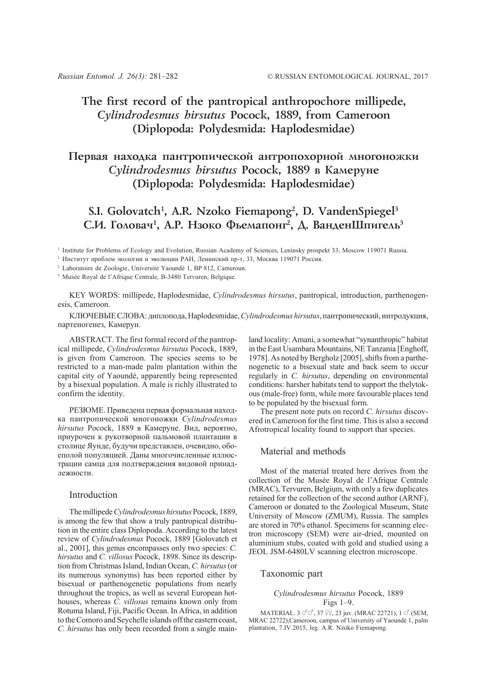# **The first record of the pantropical anthropochore millipede,** *Cylindrodesmus hirsutus* **Pocock, 1889, from Cameroon (Diplopoda: Polydesmida: Haplodesmidae)**

## Первая находка пантропической антропохорной многоножки *Cylindrodesmus hirsutus* Рососк, 1889 в Камеруне **(Diplopoda: Polydesmida: Haplodesmidae)**

### **S.I. Golovatch1 , A.R. Nzoko Fiemapong2 , D. VandenSpiegel3** С.И. Головач<sup>1</sup>, А.Р. Нзоко Фьемапонг<sup>2</sup>, Д. ВанденШпигель<sup>3</sup>

<sup>1</sup> Institute for Problems of Ecology and Evolution, Russian Academy of Sciences, Leninsky prospekt 33, Moscow 119071 Russia.

<sup>1</sup> Институт проблем экологии и эволюции РАН, Ленинский пр-т, 33, Москва 119071 Россия.

<sup>2</sup> Laboratoire de Zoologie, Université Yaoundé 1, BP 812, Cameroun.

<sup>3</sup> Musée Royal de l'Afrique Centrale, B-3480 Tervuren, Belgique.

KEY WORDS: millipede, Haplodesmidae, *Cylindrodesmus hirsutus*, pantropical, introduction, parthenogenesis, Cameroon.

КЛЮЧЕВЫЕСЛОВА: диплопода, Haplodesmidae, *Cylindrodesmus hirsutus*, пантропический, интродукция, партеногенез, Камерун.

ABSTRACT. The first formal record of the pantropical millipede, *Cylindrodesmus hirsutus* Pocock, 1889, is given from Cameroon. The species seems to be restricted to a man-made palm plantation within the capital city of Yaoundé, apparently being represented by a bisexual population. A male is richly illustrated to confirm the identity.

РЕЗЮМЕ. Приведена первая формальная находка пантропической многоножки *Cylindrodesmus hirsutus* Pocock, 1889 в Камеруне. Вид, вероятно, приурочен к рукотворной пальмовой плантации в столице Яунде, будучи представлен, очевидно, обоеполой популяцией. Даны многочисленные иллюстрации самца для подтверждения видовой принадлежности.

### Introduction

The millipede *Cylindrodesmus hirsutus* Pocock, 1889, is among the few that show a truly pantropical distribution in the entire class Diplopoda. According to the latest review of *Cylindrodesmus* Pocock, 1889 [Golovatch et al., 2001], this genus encompasses only two species: *C. hirsutus* and *C. villosus* Pocock, 1898. Since its description from Christmas Island, Indian Ocean, *C. hirsutus* (or its numerous synonyms) has been reported either by bisexual or parthenogenetic populations from nearly throughout the tropics, as well as several European hothouses, whereas *C. villosus* remains known only from Rotuma Island, Fiji, Pacific Ocean. In Africa, in addition to the Comoro and Seychelle islands off the eastern coast, *C. hirsutus* has only been recorded from a single mainland locality: Amani, a somewhat "synanthropic" habitat in the East Usambara Mountains, NE Tanzania [Enghoff, 1978]. As noted by Bergholz [2005], shifts from a parthenogenetic to a bisexual state and back seem to occur regularly in *C. hirsutus*, depending on environmental conditions: harsher habitats tend to support the thelytokous (male-free) form, while more favourable places tend to be populated by the bisexual form.

The present note puts on record *C. hirsutus* discovered in Cameroon for the first time. This is also a second Afrotropical locality found to support that species.

#### Material and methods

Most of the material treated here derives from the collection of the Musée Royal de l'Afrique Centrale (MRAC), Tervuren, Belgium, with only a few duplicates retained for the collection of the second author (ARNF), Cameroon or donated to the Zoological Museum, State University of Moscow (ZMUM), Russia. The samples are stored in 70% ethanol. Specimens for scanning electron microscopy (SEM) were air-dried, mounted on aluminium stubs, coated with gold and studied using a JEOL JSM-6480LV scanning electron microscope.

#### Taxonomic part

#### *Cylindrodesmus hirsutus* Pocock, 1889 Figs 1–9.

MATERIAL.  $3 \circ 7 \circ 37 \circ 22$ , 23 juv. (MRAC 22721),  $1 \circ 7$  (SEM, MRAC 22722),Cameroon, campus of University of Yaoundé 1, palm plantation, 7.IV.2015, leg. A.R. Nzoko Fiemapong.